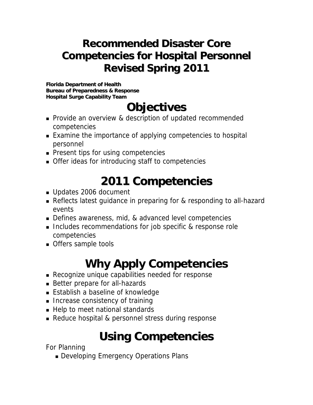### **Recommended Disaster Core Competencies for Hospital Personnel Revised Spring 2011**

**Florida Department of Health Bureau of Preparedness & Response Hospital Surge Capability Team**

## **Objectives**

- **Provide an overview & description of updated recommended** competencies
- Examine the importance of applying competencies to hospital personnel
- **Present tips for using competencies**
- **Offer ideas for introducing staff to competencies**

## **2011 Competencies**

- Updates 2006 document
- Reflects latest guidance in preparing for & responding to all-hazard events
- Defines awareness, mid, & advanced level competencies
- Includes recommendations for job specific & response role competencies
- Offers sample tools

# **Why Apply Competencies**

- Recognize unique capabilities needed for response
- Better prepare for all-hazards
- Establish a baseline of knowledge
- **Increase consistency of training**
- Help to meet national standards
- Reduce hospital & personnel stress during response

# **Using Competencies**

For Planning

Developing Emergency Operations Plans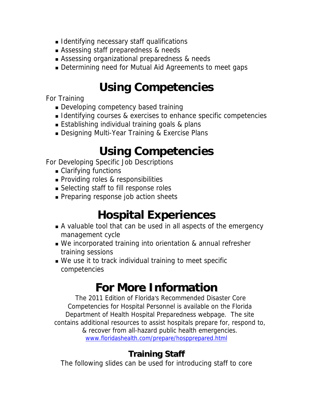- **I** Identifying necessary staff qualifications
- Assessing staff preparedness & needs
- Assessing organizational preparedness & needs
- Determining need for Mutual Aid Agreements to meet gaps

## **Using Competencies**

For Training

- Developing competency based training
- **I** Identifying courses & exercises to enhance specific competencies
- Establishing individual training goals & plans
- Designing Multi-Year Training & Exercise Plans

## **Using Competencies**

For Developing Specific Job Descriptions

- Clarifying functions
- **Providing roles & responsibilities**
- Selecting staff to fill response roles
- **Preparing response job action sheets**

## **Hospital Experiences**

- A valuable tool that can be used in all aspects of the emergency management cycle
- We incorporated training into orientation & annual refresher training sessions
- We use it to track individual training to meet specific competencies

## **For More Information**

 The 2011 Edition of Florida's Recommended Disaster Core Competencies for Hospital Personnel is available on the Florida Department of Health Hospital Preparedness webpage. The site contains additional resources to assist hospitals prepare for, respond to, & recover from all-hazard public health emergencies. [www.floridashealth.com/prepare/hospprepared.html](http://www.floridashealth.com/prepare/hospprepared.html) 

### **Training Staff**

The following slides can be used for introducing staff to core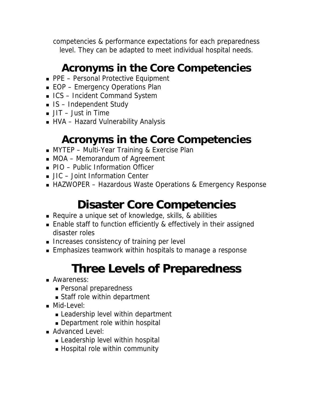competencies & performance expectations for each preparedness level. They can be adapted to meet individual hospital needs.

### **Acronyms in the Core Competencies**

- PPE Personal Protective Equipment
- EOP Emergency Operations Plan
- ICS Incident Command System
- $\blacksquare$  IS Independent Study
- JIT Just in Time
- HVA Hazard Vulnerability Analysis

### **Acronyms in the Core Competencies**

- **MYTEP Multi-Year Training & Exercise Plan**
- MOA Memorandum of Agreement
- PIO Public Information Officer
- JIC Joint Information Center
- HAZWOPER Hazardous Waste Operations & Emergency Response

## **Disaster Core Competencies**

- Require a unique set of knowledge, skills, & abilities
- Enable staff to function efficiently & effectively in their assigned disaster roles
- Increases consistency of training per level
- Emphasizes teamwork within hospitals to manage a response

# **Three Levels of Preparedness**

- Awareness:
	- Personal preparedness
	- Staff role within department
- Mid-Level:
	- Leadership level within department
	- Department role within hospital
- Advanced Level:
	- Leadership level within hospital
	- **Hospital role within community**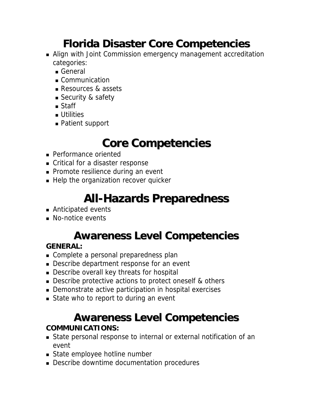## **Florida Disaster Core Competencies**

- Align with Joint Commission emergency management accreditation categories:
	- General
	- Communication
	- Resources & assets
	- Security & safety
	- Staff
	- **u** Utilities
	- Patient support

## **Core Competencies**

- **Performance oriented**
- **Critical for a disaster response**
- **Promote resilience during an event**
- Help the organization recover quicker

## **All-Hazards Preparedness**

- Anticipated events
- **No-notice events**

## **Awareness Level Competencies**

### **GENERAL:**

- Complete a personal preparedness plan
- Describe department response for an event
- Describe overall key threats for hospital
- Describe protective actions to protect oneself & others
- Demonstrate active participation in hospital exercises
- State who to report to during an event

### **Awareness Level Competencies COMMUNICATIONS:**

- State personal response to internal or external notification of an event
- **State employee hotline number**
- **Describe downtime documentation procedures**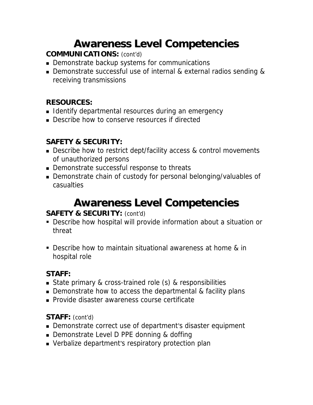### **Awareness Level Competencies**

### **COMMUNICATIONS:** (cont'd)

- Demonstrate backup systems for communications
- Demonstrate successful use of internal & external radios sending & receiving transmissions

### **RESOURCES:**

- **I** Identify departmental resources during an emergency
- **Describe how to conserve resources if directed**

### **SAFETY & SECURITY:**

- Describe how to restrict dept/facility access & control movements of unauthorized persons
- Demonstrate successful response to threats
- Demonstrate chain of custody for personal belonging/valuables of casualties

### **Awareness Level Competencies**

### **SAFETY & SECURITY: (cont'd)**

- Describe how hospital will provide information about a situation or threat
- **Describe how to maintain situational awareness at home & in** hospital role

### **STAFF:**

- State primary & cross-trained role (s) & responsibilities
- Demonstrate how to access the departmental & facility plans
- **Provide disaster awareness course certificate**

### **STAFF:** (cont'd)

- Demonstrate correct use of department's disaster equipment
- **Demonstrate Level D PPE donning & doffing**
- Verbalize department's respiratory protection plan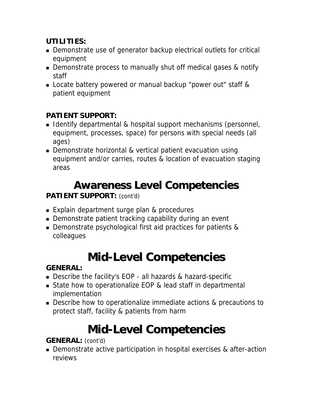### **UTILITIES:**

- Demonstrate use of generator backup electrical outlets for critical equipment
- Demonstrate process to manually shut off medical gases & notify staff
- **Locate battery powered or manual backup "power out" staff &** patient equipment

### **PATIENT SUPPORT:**

- I dentify departmental & hospital support mechanisms (personnel, equipment, processes, space) for persons with special needs (all ages)
- Demonstrate horizontal & vertical patient evacuation using equipment and/or carries, routes & location of evacuation staging areas

### **Awareness Level Competencies**

### PATIENT SUPPORT: (cont'd)

- Explain department surge plan & procedures
- Demonstrate patient tracking capability during an event
- Demonstrate psychological first aid practices for patients & colleagues

## **Mid-Level Competencies**

### **GENERAL:**

- Describe the facility's EOP all hazards & hazard-specific
- State how to operationalize EOP & lead staff in departmental implementation
- Describe how to operationalize immediate actions & precautions to protect staff, facility & patients from harm

## **Mid-Level Competencies**

### **GENERAL:** (cont'd)

 Demonstrate active participation in hospital exercises & after-action reviews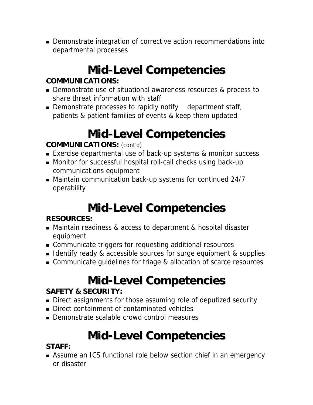Demonstrate integration of corrective action recommendations into departmental processes

# **Mid-Level Competencies**

### **COMMUNICATIONS:**

- Demonstrate use of situational awareness resources & process to share threat information with staff
- Demonstrate processes to rapidly notify department staff, patients & patient families of events & keep them updated

# **Mid-Level Competencies**

### **COMMUNICATIONS:** (cont'd)

- **Exercise departmental use of back-up systems & monitor success**
- Monitor for successful hospital roll-call checks using back-up communications equipment
- Maintain communication back-up systems for continued 24/7 operability

# **Mid-Level Competencies**

### **RESOURCES:**

- Maintain readiness & access to department & hospital disaster equipment
- Communicate triggers for requesting additional resources
- **I** Identify ready & accessible sources for surge equipment & supplies
- Communicate guidelines for triage & allocation of scarce resources

# **Mid-Level Competencies**

### **SAFETY & SECURITY:**

- Direct assignments for those assuming role of deputized security
- Direct containment of contaminated vehicles
- Demonstrate scalable crowd control measures

# **Mid-Level Competencies**

### **STAFF:**

 Assume an ICS functional role below section chief in an emergency or disaster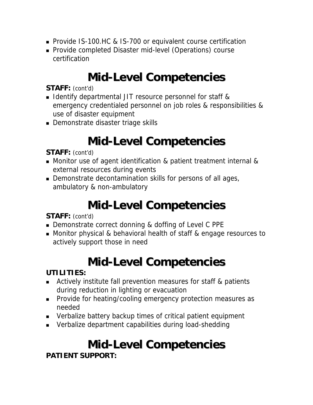- Provide IS-100.HC & IS-700 or equivalent course certification
- Provide completed Disaster mid-level (Operations) course certification

## **Mid-Level Competencies**

#### **STAFF:** (cont'd)

- Identify departmental JIT resource personnel for staff & emergency credentialed personnel on job roles & responsibilities & use of disaster equipment
- Demonstrate disaster triage skills

## **Mid-Level Competencies**

### **STAFF:** (cont'd)

- Monitor use of agent identification & patient treatment internal & external resources during events
- Demonstrate decontamination skills for persons of all ages, ambulatory & non-ambulatory

## **Mid-Level Competencies**

### **STAFF:** (cont'd)

- Demonstrate correct donning & doffing of Level C PPE
- Monitor physical & behavioral health of staff & engage resources to actively support those in need

## **Mid-Level Competencies**

### **UTILITIES:**

- Actively institute fall prevention measures for staff & patients during reduction in lighting or evacuation
- **Provide for heating/cooling emergency protection measures as** needed
- Verbalize battery backup times of critical patient equipment
- Verbalize department capabilities during load-shedding

## **Mid-Level Competencies**

### **PATIENT SUPPORT:**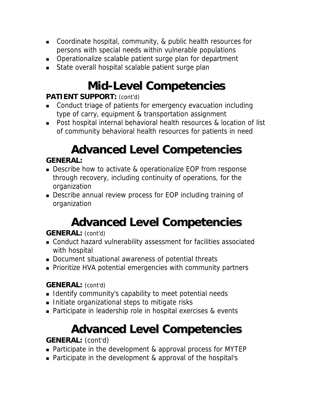- Coordinate hospital, community, & public health resources for persons with special needs within vulnerable populations
- **Dearmique Scalable patient surge plan for department**
- State overall hospital scalable patient surge plan

## **Mid-Level Competencies**

#### PATIENT SUPPORT: (cont'd)

- **Conduct triage of patients for emergency evacuation including** type of carry, equipment & transportation assignment
- Post hospital internal behavioral health resources & location of list of community behavioral health resources for patients in need

## **Advanced Level Competencies**

### **GENERAL:**

- Describe how to activate & operationalize EOP from response through recovery, including continuity of operations, for the organization
- Describe annual review process for EOP including training of organization

## **Advanced Level Competencies**

### **GENERAL:** (cont'd)

- Conduct hazard vulnerability assessment for facilities associated with hospital
- Document situational awareness of potential threats
- **Prioritize HVA potential emergencies with community partners**

### **GENERAL:** (cont'd)

- **I** Identify community's capability to meet potential needs
- Initiate organizational steps to mitigate risks
- Participate in leadership role in hospital exercises & events

## **Advanced Level Competencies**

### **GENERAL:** (cont'd)

- Participate in the development & approval process for MYTEP
- Participate in the development & approval of the hospital's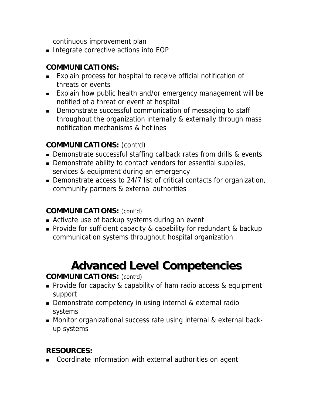continuous improvement plan

Integrate corrective actions into EOP

#### **COMMUNICATIONS:**

- Explain process for hospital to receive official notification of threats or events
- **Explain how public health and/or emergency management will be** notified of a threat or event at hospital
- Demonstrate successful communication of messaging to staff throughout the organization internally & externally through mass notification mechanisms & hotlines

### **COMMUNICATIONS:** (cont'd)

- Demonstrate successful staffing callback rates from drills & events
- Demonstrate ability to contact vendors for essential supplies, services & equipment during an emergency
- Demonstrate access to 24/7 list of critical contacts for organization, community partners & external authorities

### **COMMUNICATIONS:** (cont'd)

- Activate use of backup systems during an event
- **Provide for sufficient capacity & capability for redundant & backup** communication systems throughout hospital organization

## **Advanced Level Competencies**

### **COMMUNICATIONS:** (cont'd)

- Provide for capacity & capability of ham radio access & equipment support
- Demonstrate competency in using internal & external radio systems
- Monitor organizational success rate using internal & external backup systems

### **RESOURCES:**

Coordinate information with external authorities on agent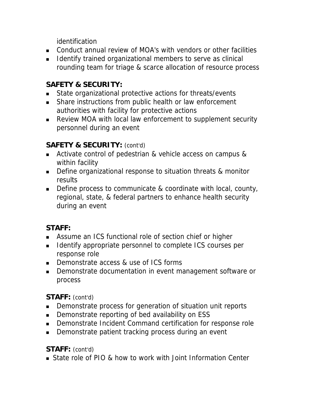identification

- Conduct annual review of MOA's with vendors or other facilities
- **IDED** Identify trained organizational members to serve as clinical rounding team for triage & scarce allocation of resource process

### **SAFETY & SECURITY:**

- State organizational protective actions for threats/events
- **Share instructions from public health or law enforcement** authorities with facility for protective actions
- Review MOA with local law enforcement to supplement security personnel during an event

### **SAFETY & SECURITY:** (cont'd)

- Activate control of pedestrian & vehicle access on campus & within facility
- Define organizational response to situation threats & monitor results
- Define process to communicate & coordinate with local, county, regional, state, & federal partners to enhance health security during an event

### **STAFF:**

- Assume an ICS functional role of section chief or higher
- **IDENTIFY** depropriate personnel to complete ICS courses per response role
- **Demonstrate access & use of ICS forms**
- **Demonstrate documentation in event management software or** process

### **STAFF:** (cont'd)

- Demonstrate process for generation of situation unit reports
- Demonstrate reporting of bed availability on ESS
- Demonstrate Incident Command certification for response role
- **Demonstrate patient tracking process during an event**

### **STAFF:** (cont'd)

**State role of PIO & how to work with Joint Information Center**